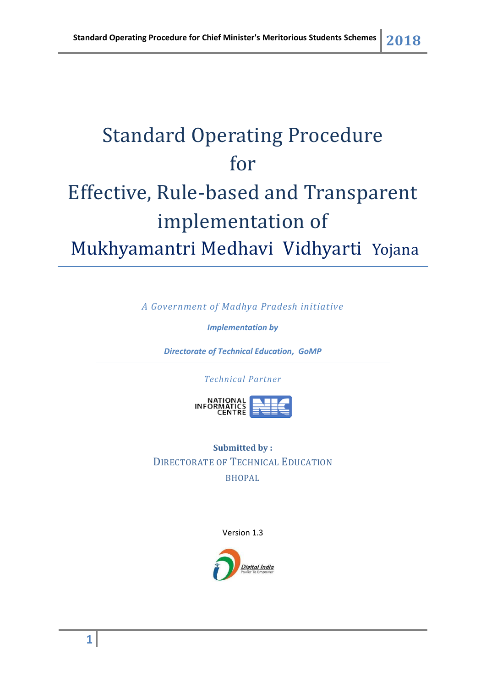# Standard Operating Procedure for Effective, Rule-based and Transparent implementation of Mukhyamantri Medhavi Vidhyarti Yojana

*A Government of Madhya Pradesh initiative*

*Implementation by*

*Directorate of Technical Education, GoMP*

*Technical Partner*



**Submitted by :** DIRECTORATE OF TECHNICAL EDUCATION BHOPAL

Version 1.3

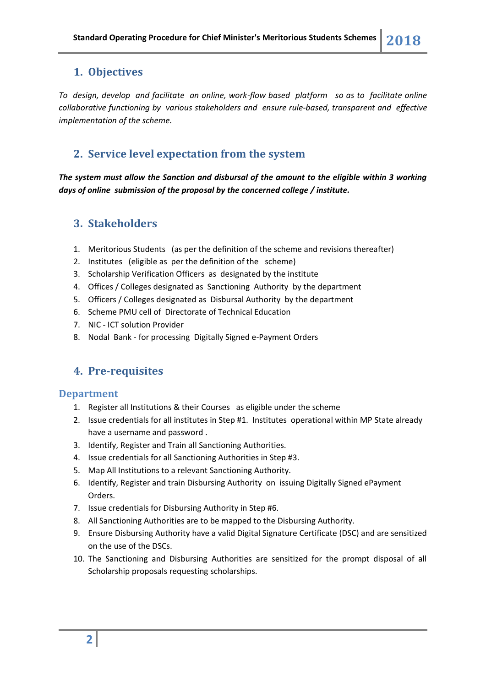## **1. Objectives**

*To design, develop and facilitate an online, work-flow based platform so as to facilitate online collaborative functioning by various stakeholders and ensure rule-based, transparent and effective implementation of the scheme.*

## **2. Service level expectation from the system**

*The system must allow the Sanction and disbursal of the amount to the eligible within 3 working days of online submission of the proposal by the concerned college / institute.*

## **3. Stakeholders**

- 1. Meritorious Students (as per the definition of the scheme and revisions thereafter)
- 2. Institutes (eligible as per the definition of the scheme)
- 3. Scholarship Verification Officers as designated by the institute
- 4. Offices / Colleges designated as Sanctioning Authority by the department
- 5. Officers / Colleges designated as Disbursal Authority by the department
- 6. Scheme PMU cell of Directorate of Technical Education
- 7. NIC ICT solution Provider
- 8. Nodal Bank for processing Digitally Signed e-Payment Orders

# **4. Pre-requisites**

#### **Department**

- 1. Register all Institutions & their Courses as eligible under the scheme
- 2. Issue credentials for all institutes in Step #1. Institutes operational within MP State already have a username and password .
- 3. Identify, Register and Train all Sanctioning Authorities.
- 4. Issue credentials for all Sanctioning Authorities in Step #3.
- 5. Map All Institutions to a relevant Sanctioning Authority.
- 6. Identify, Register and train Disbursing Authority on issuing Digitally Signed ePayment Orders.
- 7. Issue credentials for Disbursing Authority in Step #6.
- 8. All Sanctioning Authorities are to be mapped to the Disbursing Authority.
- 9. Ensure Disbursing Authority have a valid Digital Signature Certificate (DSC) and are sensitized on the use of the DSCs.
- 10. The Sanctioning and Disbursing Authorities are sensitized for the prompt disposal of all Scholarship proposals requesting scholarships.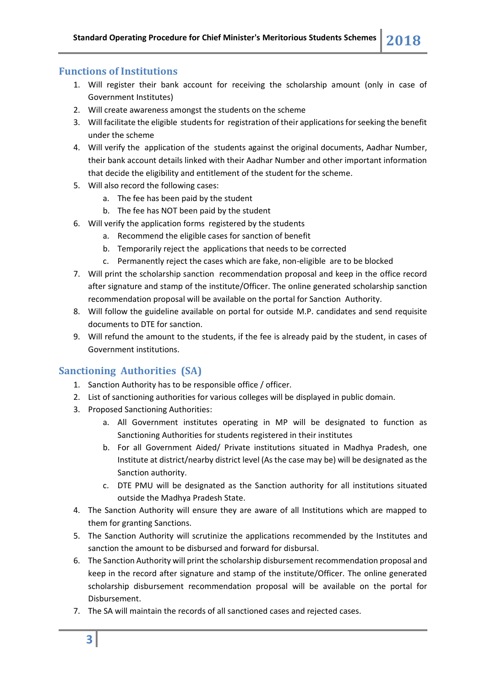#### **Functions of Institutions**

- 1. Will register their bank account for receiving the scholarship amount (only in case of Government Institutes)
- 2. Will create awareness amongst the students on the scheme
- 3. Will facilitate the eligible students for registration of their applicationsfor seeking the benefit under the scheme
- 4. Will verify the application of the students against the original documents, Aadhar Number, their bank account details linked with their Aadhar Number and other important information that decide the eligibility and entitlement of the student for the scheme.
- 5. Will also record the following cases:
	- a. The fee has been paid by the student
	- b. The fee has NOT been paid by the student
- 6. Will verify the application forms registered by the students
	- a. Recommend the eligible cases for sanction of benefit
	- b. Temporarily reject the applications that needs to be corrected
	- c. Permanently reject the cases which are fake, non-eligible are to be blocked
- 7. Will print the scholarship sanction recommendation proposal and keep in the office record after signature and stamp of the institute/Officer. The online generated scholarship sanction recommendation proposal will be available on the portal for Sanction Authority.
- 8. Will follow the guideline available on portal for outside M.P. candidates and send requisite documents to DTE for sanction.
- 9. Will refund the amount to the students, if the fee is already paid by the student, in cases of Government institutions.

#### **Sanctioning Authorities (SA)**

- 1. Sanction Authority has to be responsible office / officer.
- 2. List of sanctioning authorities for various colleges will be displayed in public domain.
- 3. Proposed Sanctioning Authorities:
	- a. All Government institutes operating in MP will be designated to function as Sanctioning Authorities for students registered in their institutes
	- b. For all Government Aided/ Private institutions situated in Madhya Pradesh, one Institute at district/nearby district level (As the case may be) will be designated as the Sanction authority.
	- c. DTE PMU will be designated as the Sanction authority for all institutions situated outside the Madhya Pradesh State.
- 4. The Sanction Authority will ensure they are aware of all Institutions which are mapped to them for granting Sanctions.
- 5. The Sanction Authority will scrutinize the applications recommended by the Institutes and sanction the amount to be disbursed and forward for disbursal.
- 6. The Sanction Authority will print the scholarship disbursement recommendation proposal and keep in the record after signature and stamp of the institute/Officer. The online generated scholarship disbursement recommendation proposal will be available on the portal for Disbursement.
- 7. The SA will maintain the records of all sanctioned cases and rejected cases.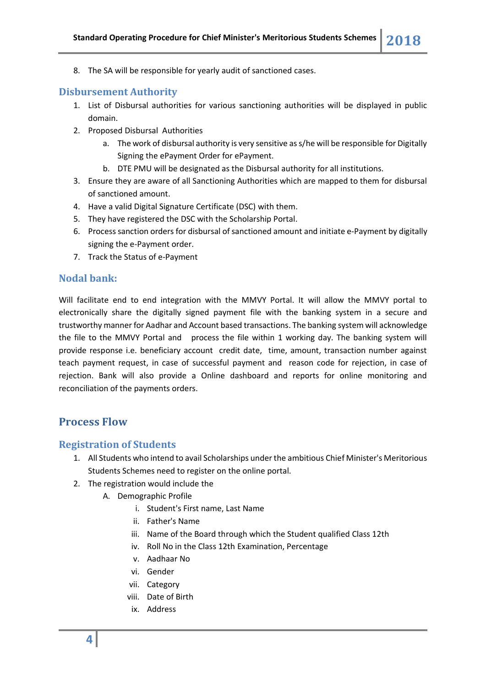8. The SA will be responsible for yearly audit of sanctioned cases.

#### **Disbursement Authority**

- 1. List of Disbursal authorities for various sanctioning authorities will be displayed in public domain.
- 2. Proposed Disbursal Authorities
	- a. The work of disbursal authority is very sensitive as s/he will be responsible for Digitally Signing the ePayment Order for ePayment.
	- b. DTE PMU will be designated as the Disbursal authority for all institutions.
- 3. Ensure they are aware of all Sanctioning Authorities which are mapped to them for disbursal of sanctioned amount.
- 4. Have a valid Digital Signature Certificate (DSC) with them.
- 5. They have registered the DSC with the Scholarship Portal.
- 6. Process sanction orders for disbursal of sanctioned amount and initiate e-Payment by digitally signing the e-Payment order.
- 7. Track the Status of e-Payment

#### **Nodal bank:**

Will facilitate end to end integration with the MMVY Portal. It will allow the MMVY portal to electronically share the digitally signed payment file with the banking system in a secure and trustworthy manner for Aadhar and Account based transactions. The banking system will acknowledge the file to the MMVY Portal and process the file within 1 working day. The banking system will provide response i.e. beneficiary account credit date, time, amount, transaction number against teach payment request, in case of successful payment and reason code for rejection, in case of rejection. Bank will also provide a Online dashboard and reports for online monitoring and reconciliation of the payments orders.

#### **Process Flow**

#### **Registration of Students**

- 1. All Students who intend to avail Scholarships under the ambitious Chief Minister's Meritorious Students Schemes need to register on the online portal.
- 2. The registration would include the
	- A. Demographic Profile
		- i. Student's First name, Last Name
		- ii. Father's Name
		- iii. Name of the Board through which the Student qualified Class 12th
		- iv. Roll No in the Class 12th Examination, Percentage
		- v. Aadhaar No
		- vi. Gender
		- vii. Category
		- viii. Date of Birth
		- ix. Address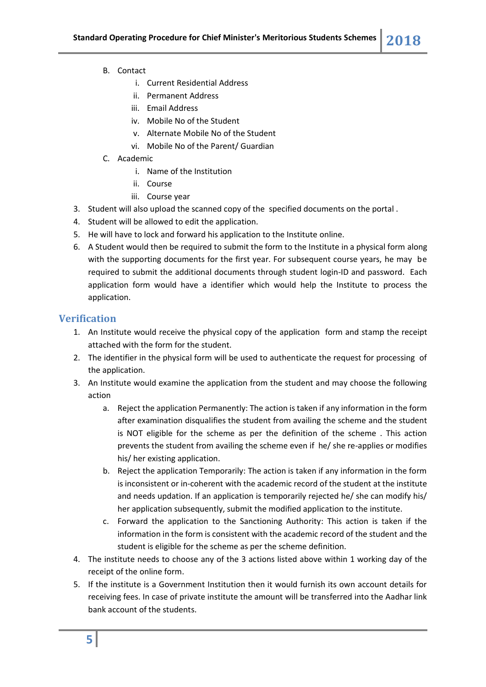- B. Contact
	- i. Current Residential Address
	- ii. Permanent Address
	- iii. Email Address
	- iv. Mobile No of the Student
	- v. Alternate Mobile No of the Student
	- vi. Mobile No of the Parent/ Guardian
- C. Academic
	- i. Name of the Institution
	- ii. Course
	- iii. Course year
- 3. Student will also upload the scanned copy of the specified documents on the portal .
- 4. Student will be allowed to edit the application.
- 5. He will have to lock and forward his application to the Institute online.
- 6. A Student would then be required to submit the form to the Institute in a physical form along with the supporting documents for the first year. For subsequent course years, he may be required to submit the additional documents through student login-ID and password. Each application form would have a identifier which would help the Institute to process the application.

### **Verification**

- 1. An Institute would receive the physical copy of the application form and stamp the receipt attached with the form for the student.
- 2. The identifier in the physical form will be used to authenticate the request for processing of the application.
- 3. An Institute would examine the application from the student and may choose the following action
	- a. Reject the application Permanently: The action is taken if any information in the form after examination disqualifies the student from availing the scheme and the student is NOT eligible for the scheme as per the definition of the scheme . This action prevents the student from availing the scheme even if he/ she re-applies or modifies his/ her existing application.
	- b. Reject the application Temporarily: The action is taken if any information in the form is inconsistent or in-coherent with the academic record of the student at the institute and needs updation. If an application is temporarily rejected he/ she can modify his/ her application subsequently, submit the modified application to the institute.
	- c. Forward the application to the Sanctioning Authority: This action is taken if the information in the form is consistent with the academic record of the student and the student is eligible for the scheme as per the scheme definition.
- 4. The institute needs to choose any of the 3 actions listed above within 1 working day of the receipt of the online form.
- 5. If the institute is a Government Institution then it would furnish its own account details for receiving fees. In case of private institute the amount will be transferred into the Aadhar link bank account of the students.